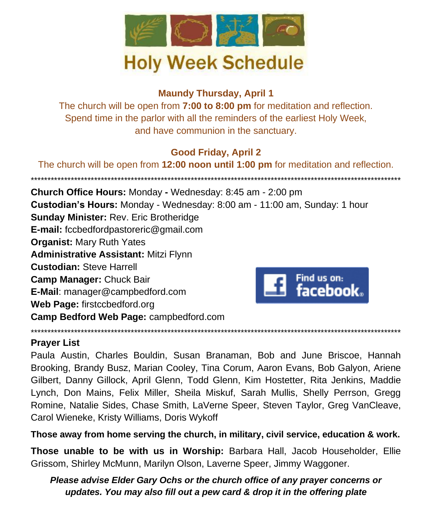

## **Maundy Thursday, April 1**

The church will be open from **7:00 to 8:00 pm** for meditation and reflection. Spend time in the parlor with all the reminders of the earliest Holy Week, and have communion in the sanctuary.

## **Good Friday, April 2**

The church will be open from **12:00 noon until 1:00 pm** for meditation and reflection.

\*\*\*\*\*\*\*\*\*\*\*\*\*\*\*\*\*\*\*\*\*\*\*\*\*\*\*\*\*\*\*\*\*\*\*\*\*\*\*\*\*\*\*\*\*\*\*\*\*\*\*\*\*\*\*\*\*\*\*\*\*\*\*\*\*\*\*\*\*\*\*\*\*\*\*\*\*\*\*\*\*\*\*\*\*\*\*\*\*\*\*\*\*\*\*\*\*\*\*\*\*\*\*\*\*\*\*\*\*\*\* **Church Office Hours:** Monday **-** Wednesday: 8:45 am - 2:00 pm **Custodian's Hours:** Monday - Wednesday: 8:00 am - 11:00 am, Sunday: 1 hour **Sunday Minister:** Rev. Eric Brotheridge **E-mail:** fccbedfordpastoreric@gmail.com **Organist:** Mary Ruth Yates **Administrative Assistant:** Mitzi Flynn **Custodian:** Steve Harrell **Camp Manager:** Chuck Bair Find us on: facebook. **E-Mail**: manager@campbedford.com **Web Page:** firstccbedford.org **Camp Bedford Web Page:** campbedford.com

### \*\*\*\*\*\*\*\*\*\*\*\*\*\*\*\*\*\*\*\*\*\*\*\*\*\*\*\*\*\*\*\*\*\*\*\*\*\*\*\*\*\*\*\*\*\*\*\*\*\*\*\*\*\*\*\*\*\*\*\*\*\*\*\*\*\*\*\*\*\*\*\*\*\*\*\*\*\*\*\*\*\*\*\*\*\*\*\*\*\*\*\*\*\*\*\*\*\*\*\*\*\*\*\*\*\*\*\*\*\*\* **Prayer List**

Paula Austin, Charles Bouldin, Susan Branaman, Bob and June Briscoe, Hannah Brooking, Brandy Busz, Marian Cooley, Tina Corum, Aaron Evans, Bob Galyon, Ariene Gilbert, Danny Gillock, April Glenn, Todd Glenn, Kim Hostetter, Rita Jenkins, Maddie Lynch, Don Mains, Felix Miller, Sheila Miskuf, Sarah Mullis, Shelly Perrson, Gregg Romine, Natalie Sides, Chase Smith, LaVerne Speer, Steven Taylor, Greg VanCleave, Carol Wieneke, Kristy Williams, Doris Wykoff

**Those away from home serving the church, in military, civil service, education & work.**

**Those unable to be with us in Worship:** Barbara Hall, Jacob Householder, Ellie Grissom, Shirley McMunn, Marilyn Olson, Laverne Speer, Jimmy Waggoner.

## *Please advise Elder Gary Ochs or the church office of any prayer concerns or updates. You may also fill out a pew card & drop it in the offering plate*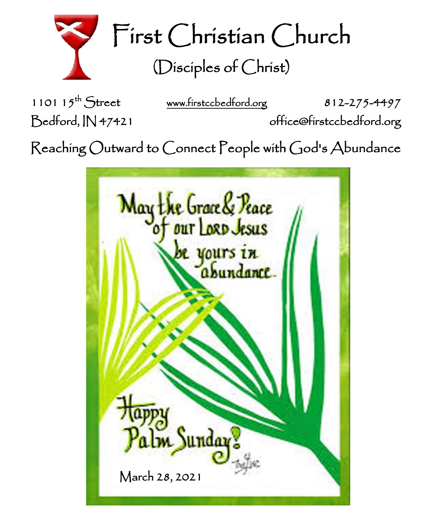

First Christian Church (Disciples of Christ)

1101  $15^{th}$  Street

[www.firstccbedford.org](http://www.firstccbedford.org/) 812-275-4497

Bedford, IN 47421 office@firstccbedford.org

 $\sf Reaching~Outward$  to  $\sf Connect$   $\sf People$  with  $\sf God$ 's  $\sf Abundance$ 

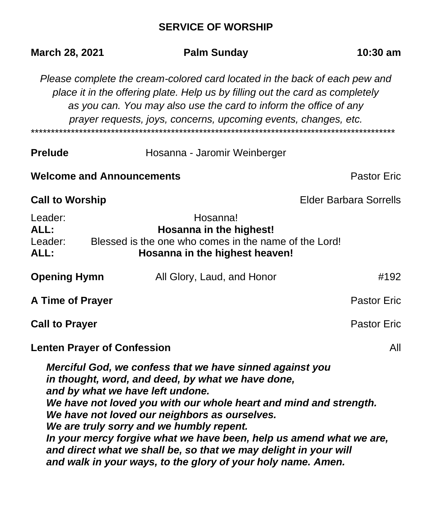# **SERVICE OF WORSHIP**

| March 28, 2021                     | <b>Palm Sunday</b>                                                                                                                                                                                                                                                                                                                                                                                                                                                                                                             | 10:30 am                      |
|------------------------------------|--------------------------------------------------------------------------------------------------------------------------------------------------------------------------------------------------------------------------------------------------------------------------------------------------------------------------------------------------------------------------------------------------------------------------------------------------------------------------------------------------------------------------------|-------------------------------|
|                                    | Please complete the cream-colored card located in the back of each pew and<br>place it in the offering plate. Help us by filling out the card as completely<br>as you can. You may also use the card to inform the office of any<br>prayer requests, joys, concerns, upcoming events, changes, etc.                                                                                                                                                                                                                            |                               |
| <b>Prelude</b>                     | Hosanna - Jaromir Weinberger                                                                                                                                                                                                                                                                                                                                                                                                                                                                                                   |                               |
| <b>Welcome and Announcements</b>   |                                                                                                                                                                                                                                                                                                                                                                                                                                                                                                                                | <b>Pastor Eric</b>            |
| <b>Call to Worship</b>             |                                                                                                                                                                                                                                                                                                                                                                                                                                                                                                                                | <b>Elder Barbara Sorrells</b> |
| Leader:<br>ALL:<br>Leader:<br>ALL: | Hosanna!<br>Hosanna in the highest!<br>Blessed is the one who comes in the name of the Lord!<br>Hosanna in the highest heaven!                                                                                                                                                                                                                                                                                                                                                                                                 |                               |
| <b>Opening Hymn</b>                | All Glory, Laud, and Honor                                                                                                                                                                                                                                                                                                                                                                                                                                                                                                     | #192                          |
| A Time of Prayer                   |                                                                                                                                                                                                                                                                                                                                                                                                                                                                                                                                | <b>Pastor Eric</b>            |
| <b>Call to Prayer</b>              |                                                                                                                                                                                                                                                                                                                                                                                                                                                                                                                                | <b>Pastor Eric</b>            |
| <b>Lenten Prayer of Confession</b> |                                                                                                                                                                                                                                                                                                                                                                                                                                                                                                                                | All                           |
|                                    | Merciful God, we confess that we have sinned against you<br>in thought, word, and deed, by what we have done,<br>and by what we have left undone.<br>We have not loved you with our whole heart and mind and strength.<br>We have not loved our neighbors as ourselves.<br>We are truly sorry and we humbly repent.<br>In your mercy forgive what we have been, help us amend what we are,<br>and direct what we shall be, so that we may delight in your will<br>and walk in your ways, to the glory of your holy name. Amen. |                               |